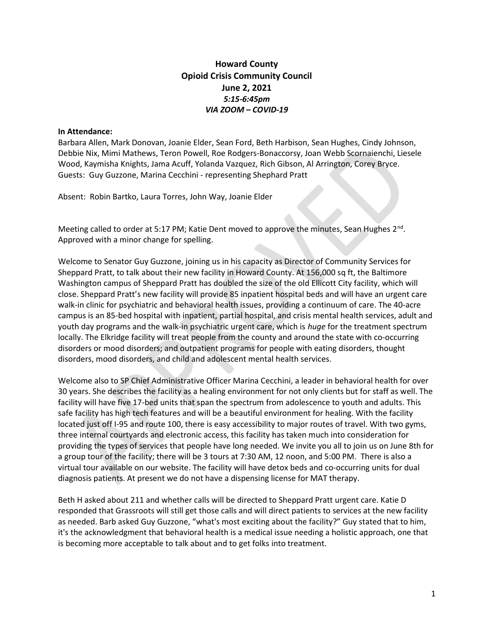## Howard County Opioid Crisis Community Council June 2, 2021 5:15-6:45pm VIA ZOOM – COVID-19

## In Attendance:

Barbara Allen, Mark Donovan, Joanie Elder, Sean Ford, Beth Harbison, Sean Hughes, Cindy Johnson, Debbie Nix, Mimi Mathews, Teron Powell, Roe Rodgers-Bonaccorsy, Joan Webb Scornaienchi, Liesele Wood, Kaymisha Knights, Jama Acuff, Yolanda Vazquez, Rich Gibson, Al Arrington, Corey Bryce. Guests: Guy Guzzone, Marina Cecchini - representing Shephard Pratt

Absent: Robin Bartko, Laura Torres, John Way, Joanie Elder

Meeting called to order at 5:17 PM; Katie Dent moved to approve the minutes, Sean Hughes 2<sup>nd</sup>. Approved with a minor change for spelling.

Welcome to Senator Guy Guzzone, joining us in his capacity as Director of Community Services for Sheppard Pratt, to talk about their new facility in Howard County. At 156,000 sq ft, the Baltimore Washington campus of Sheppard Pratt has doubled the size of the old Ellicott City facility, which will close. Sheppard Pratt's new facility will provide 85 inpatient hospital beds and will have an urgent care walk-in clinic for psychiatric and behavioral health issues, providing a continuum of care. The 40-acre campus is an 85-bed hospital with inpatient, partial hospital, and crisis mental health services, adult and youth day programs and the walk-in psychiatric urgent care, which is huge for the treatment spectrum locally. The Elkridge facility will treat people from the county and around the state with co-occurring disorders or mood disorders; and outpatient programs for people with eating disorders, thought disorders, mood disorders, and child and adolescent mental health services.

Welcome also to SP Chief Administrative Officer Marina Cecchini, a leader in behavioral health for over 30 years. She describes the facility as a healing environment for not only clients but for staff as well. The facility will have five 17-bed units that span the spectrum from adolescence to youth and adults. This safe facility has high tech features and will be a beautiful environment for healing. With the facility located just off I-95 and route 100, there is easy accessibility to major routes of travel. With two gyms, three internal courtyards and electronic access, this facility has taken much into consideration for providing the types of services that people have long needed. We invite you all to join us on June 8th for a group tour of the facility; there will be 3 tours at 7:30 AM, 12 noon, and 5:00 PM. There is also a virtual tour available on our website. The facility will have detox beds and co-occurring units for dual diagnosis patients. At present we do not have a dispensing license for MAT therapy.

Beth H asked about 211 and whether calls will be directed to Sheppard Pratt urgent care. Katie D responded that Grassroots will still get those calls and will direct patients to services at the new facility as needed. Barb asked Guy Guzzone, "what's most exciting about the facility?" Guy stated that to him, it's the acknowledgment that behavioral health is a medical issue needing a holistic approach, one that is becoming more acceptable to talk about and to get folks into treatment.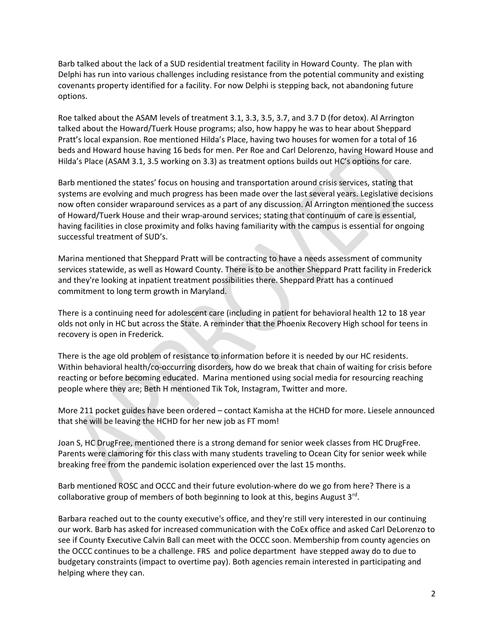Barb talked about the lack of a SUD residential treatment facility in Howard County. The plan with Delphi has run into various challenges including resistance from the potential community and existing covenants property identified for a facility. For now Delphi is stepping back, not abandoning future options.

Roe talked about the ASAM levels of treatment 3.1, 3.3, 3.5, 3.7, and 3.7 D (for detox). Al Arrington talked about the Howard/Tuerk House programs; also, how happy he was to hear about Sheppard Pratt's local expansion. Roe mentioned Hilda's Place, having two houses for women for a total of 16 beds and Howard house having 16 beds for men. Per Roe and Carl Delorenzo, having Howard House and Hilda's Place (ASAM 3.1, 3.5 working on 3.3) as treatment options builds out HC's options for care.

Barb mentioned the states' focus on housing and transportation around crisis services, stating that systems are evolving and much progress has been made over the last several years. Legislative decisions now often consider wraparound services as a part of any discussion. Al Arrington mentioned the success of Howard/Tuerk House and their wrap-around services; stating that continuum of care is essential, having facilities in close proximity and folks having familiarity with the campus is essential for ongoing successful treatment of SUD's.

Marina mentioned that Sheppard Pratt will be contracting to have a needs assessment of community services statewide, as well as Howard County. There is to be another Sheppard Pratt facility in Frederick and they're looking at inpatient treatment possibilities there. Sheppard Pratt has a continued commitment to long term growth in Maryland.

There is a continuing need for adolescent care (including in patient for behavioral health 12 to 18 year olds not only in HC but across the State. A reminder that the Phoenix Recovery High school for teens in recovery is open in Frederick.

There is the age old problem of resistance to information before it is needed by our HC residents. Within behavioral health/co-occurring disorders, how do we break that chain of waiting for crisis before reacting or before becoming educated. Marina mentioned using social media for resourcing reaching people where they are; Beth H mentioned Tik Tok, Instagram, Twitter and more.

More 211 pocket guides have been ordered – contact Kamisha at the HCHD for more. Liesele announced that she will be leaving the HCHD for her new job as FT mom!

Joan S, HC DrugFree, mentioned there is a strong demand for senior week classes from HC DrugFree. Parents were clamoring for this class with many students traveling to Ocean City for senior week while breaking free from the pandemic isolation experienced over the last 15 months.

Barb mentioned ROSC and OCCC and their future evolution-where do we go from here? There is a collaborative group of members of both beginning to look at this, begins August 3<sup>rd</sup>.

Barbara reached out to the county executive's office, and they're still very interested in our continuing our work. Barb has asked for increased communication with the CoEx office and asked Carl DeLorenzo to see if County Executive Calvin Ball can meet with the OCCC soon. Membership from county agencies on the OCCC continues to be a challenge. FRS and police department have stepped away do to due to budgetary constraints (impact to overtime pay). Both agencies remain interested in participating and helping where they can.